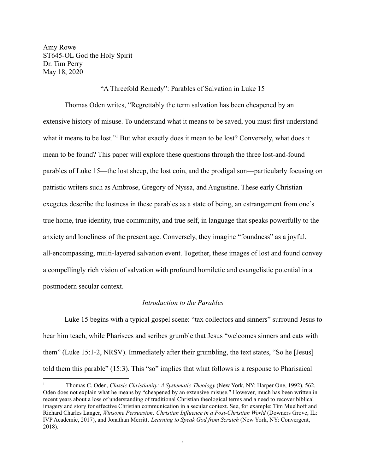Amy Rowe ST645-OL God the Holy Spirit Dr. Tim Perry May 18, 2020

"A Threefold Remedy": Parables of Salvation in Luke 15

Thomas Oden writes, "Regrettably the term salvation has been cheapened by an extensive history of misuse. To understand what it means to be saved, you must first understand what it means to be lost."<sup>1</sup> But what exactly does it mean to be lost? Conversely, what does it mean to be found? This paper will explore these questions through the three lost-and-found parables of Luke 15—the lost sheep, the lost coin, and the prodigal son—particularly focusing on patristic writers such as Ambrose, Gregory of Nyssa, and Augustine. These early Christian exegetes describe the lostness in these parables as a state of being, an estrangement from one's true home, true identity, true community, and true self, in language that speaks powerfully to the anxiety and loneliness of the present age. Conversely, they imagine "foundness" as a joyful, all-encompassing, multi-layered salvation event. Together, these images of lost and found convey a compellingly rich vision of salvation with profound homiletic and evangelistic potential in a postmodern secular context.

## *Introduction to the Parables*

Luke 15 begins with a typical gospel scene: "tax collectors and sinners" surround Jesus to hear him teach, while Pharisees and scribes grumble that Jesus "welcomes sinners and eats with them" (Luke 15:1-2, NRSV). Immediately after their grumbling, the text states, "So he [Jesus] told them this parable" (15:3). This "so" implies that what follows is a response to Pharisaical

<sup>1</sup> Thomas C. Oden, *Classic Christianity: A Systematic Theology* (New York, NY: Harper One, 1992), 562. Oden does not explain what he means by "cheapened by an extensive misuse." However, much has been written in recent years about a loss of understanding of traditional Christian theological terms and a need to recover biblical imagery and story for effective Christian communication in a secular context. See, for example: Tim Muelhoff and Richard Charles Langer, *Winsome Persuasion: Christian Influence in a Post-Christian World* (Downers Grove, IL: IVP Academic, 2017), and Jonathan Merritt, *Learning to Speak God from Scratch* (New York, NY: Convergent, 2018).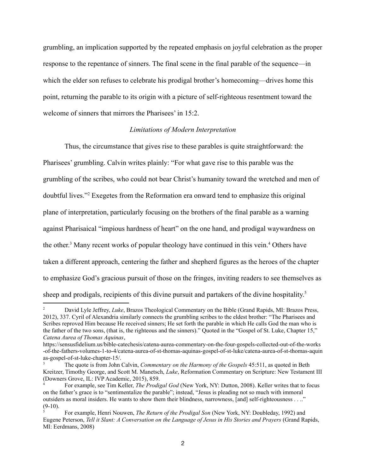grumbling, an implication supported by the repeated emphasis on joyful celebration as the proper response to the repentance of sinners. The final scene in the final parable of the sequence—in which the elder son refuses to celebrate his prodigal brother's homecoming—drives home this point, returning the parable to its origin with a picture of self-righteous resentment toward the welcome of sinners that mirrors the Pharisees' in 15:2.

### *Limitations of Modern Interpretation*

Thus, the circumstance that gives rise to these parables is quite straightforward: the Pharisees' grumbling. Calvin writes plainly: "For what gave rise to this parable was the grumbling of the scribes, who could not bear Christ's humanity toward the wretched and men of doubtful lives."<sup>2</sup> Exegetes from the Reformation era onward tend to emphasize this original plane of interpretation, particularly focusing on the brothers of the final parable as a warning against Pharisaical "impious hardness of heart" on the one hand, and prodigal waywardness on the other.<sup>3</sup> Many recent works of popular theology have continued in this vein.<sup>4</sup> Others have taken a different approach, centering the father and shepherd figures as the heroes of the chapter to emphasize God's gracious pursuit of those on the fringes, inviting readers to see themselves as sheep and prodigals, recipients of this divine pursuit and partakers of the divine hospitality.<sup>5</sup>

<sup>2</sup> David Lyle Jeffrey, *Luke*, Brazos Theological Commentary on the Bible (Grand Rapids, MI: Brazos Press, 2012), 337. Cyril of Alexandria similarly connects the grumbling scribes to the eldest brother: "The Pharisees and Scribes reproved Him because He received sinners; He set forth the parable in which He calls God the man who is the father of the two sons, (that is, the righteous and the sinners)." Quoted in the "Gospel of St. Luke, Chapter 15," *Catena Aurea of Thomas Aquinas*,

https://sensusfidelium.us/bible-catechesis/catena-aurea-commentary-on-the-four-gospels-collected-out-of-the-works -of-the-fathers-volumes-1-to-4/catena-aurea-of-st-thomas-aquinas-gospel-of-st-luke/catena-aurea-of-st-thomas-aquin as-gospel-of-st-luke-chapter-15/.

<sup>3</sup> The quote is from John Calvin, *Commentary on the Harmony of the Gospels* 45:511, as quoted in Beth Kreitzer, Timothy George, and Scott M. Manetsch, *Luke*, Reformation Commentary on Scripture: New Testament III (Downers Grove, IL: IVP Academic, 2015), 859.

<sup>4</sup> For example, see Tim Keller, *The Prodigal God* (New York, NY: Dutton, 2008). Keller writes that to focus on the father's grace is to "sentimentalize the parable"; instead, "Jesus is pleading not so much with immoral outsiders as moral insiders. He wants to show them their blindness, narrowness, [and] self-righteousness . . .."  $(9-10)$ .

<sup>5</sup> For example, Henri Nouwen, *The Return of the Prodigal Son* (New York, NY: Doubleday, 1992) and Eugene Peterson, *Tell it Slant: A Conversation on the Language of Jesus in His Stories and Prayers* (Grand Rapids, MI: Eerdmans, 2008)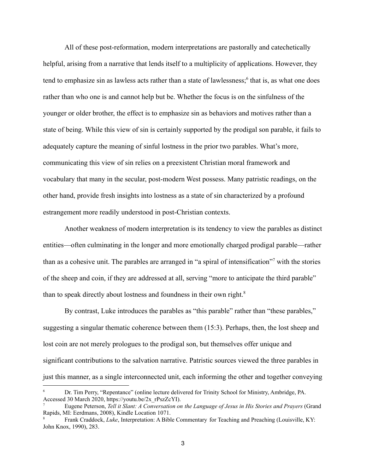All of these post-reformation, modern interpretations are pastorally and catechetically helpful, arising from a narrative that lends itself to a multiplicity of applications. However, they tend to emphasize sin as lawless acts rather than a state of lawlessness;<sup>6</sup> that is, as what one does rather than who one is and cannot help but be. Whether the focus is on the sinfulness of the younger or older brother, the effect is to emphasize sin as behaviors and motives rather than a state of being. While this view of sin is certainly supported by the prodigal son parable, it fails to adequately capture the meaning of sinful lostness in the prior two parables. What's more, communicating this view of sin relies on a preexistent Christian moral framework and vocabulary that many in the secular, post-modern West possess. Many patristic readings, on the other hand, provide fresh insights into lostness as a state of sin characterized by a profound estrangement more readily understood in post-Christian contexts.

Another weakness of modern interpretation is its tendency to view the parables as distinct entities—often culminating in the longer and more emotionally charged prodigal parable—rather than as a cohesive unit. The parables are arranged in "a spiral of intensification"<sup>7</sup> with the stories of the sheep and coin, if they are addressed at all, serving "more to anticipate the third parable" than to speak directly about lostness and foundness in their own right.<sup>8</sup>

By contrast, Luke introduces the parables as "this parable" rather than "these parables," suggesting a singular thematic coherence between them (15:3). Perhaps, then, the lost sheep and lost coin are not merely prologues to the prodigal son, but themselves offer unique and significant contributions to the salvation narrative. Patristic sources viewed the three parables in just this manner, as a single interconnected unit, each informing the other and together conveying

<sup>6</sup> Dr. Tim Perry, "Repentance" (online lecture delivered for Trinity School for Ministry, Ambridge, PA. Accessed 30 March 2020, https://youtu.be/2x\_rPszZcYI).

<sup>7</sup> Eugene Peterson, *Tell it Slant: A Conversation on the Language of Jesus in His Stories and Prayers* (Grand Rapids, MI: Eerdmans, 2008), Kindle Location 1071.

<sup>8</sup> Frank Craddock, *Luke*, Interpretation: A Bible Commentary for Teaching and Preaching (Louisville, KY: John Knox, 1990), 283.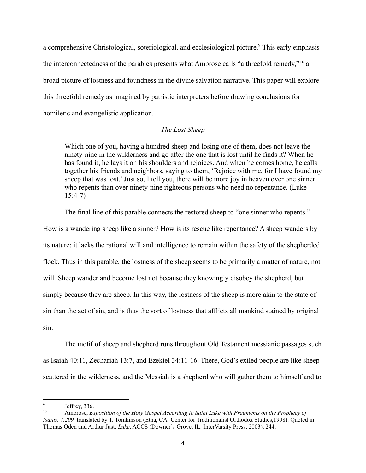a comprehensive Christological, soteriological, and ecclesiological picture.<sup>9</sup> This early emphasis the interconnectedness of the parables presents what Ambrose calls "a threefold remedy,"<sup>10</sup> a broad picture of lostness and foundness in the divine salvation narrative. This paper will explore this threefold remedy as imagined by patristic interpreters before drawing conclusions for homiletic and evangelistic application.

## *The Lost Sheep*

Which one of you, having a hundred sheep and losing one of them, does not leave the ninety-nine in the wilderness and go after the one that is lost until he finds it? When he has found it, he lays it on his shoulders and rejoices. And when he comes home, he calls together his friends and neighbors, saying to them, 'Rejoice with me, for I have found my sheep that was lost.' Just so, I tell you, there will be more joy in heaven over one sinner who repents than over ninety-nine righteous persons who need no repentance. (Luke 15:4-7)

The final line of this parable connects the restored sheep to "one sinner who repents."

How is a wandering sheep like a sinner? How is its rescue like repentance? A sheep wanders by its nature; it lacks the rational will and intelligence to remain within the safety of the shepherded flock. Thus in this parable, the lostness of the sheep seems to be primarily a matter of nature, not will. Sheep wander and become lost not because they knowingly disobey the shepherd, but simply because they are sheep. In this way, the lostness of the sheep is more akin to the state of sin than the act of sin, and is thus the sort of lostness that afflicts all mankind stained by original sin.

The motif of sheep and shepherd runs throughout Old Testament messianic passages such as Isaiah 40:11, Zechariah 13:7, and Ezekiel 34:11-16. There, God's exiled people are like sheep scattered in the wilderness, and the Messiah is a shepherd who will gather them to himself and to

Jeffrey, 336.

<sup>10</sup> Ambrose, *Exposition of the Holy Gospel According to Saint Luke with Fragments on the Prophecy of Isaias, 7.209,* translated by T. Tomkinson (Etna, CA: Center for Traditionalist Orthodox Studies,1998). Quoted in Thomas Oden and Arthur Just, *Luke*, ACCS (Downer's Grove, IL: InterVarsity Press, 2003), 244.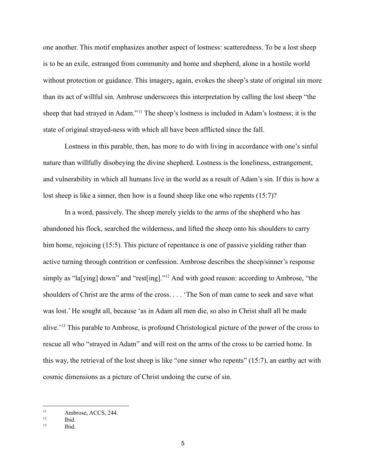one another. This motif emphasizes another aspect of lostness: scatteredness. To be a lost sheep is to be an exile, estranged from community and home and shepherd, alone in a hostile world without protection or guidance. This imagery, again, evokes the sheep's state of original sin more than its act of willful sin. Ambrose underscores this interpretation by calling the lost sheep "the sheep that had strayed in Adam."<sup>11</sup> The sheep's lostness is included in Adam's lostness; it is the state of original strayed-ness with which all have been afflicted since the fall.

Lostness in this parable, then, has more to do with living in accordance with one's sinful nature than willfully disobeying the divine shepherd. Lostness is the loneliness, estrangement, and vulnerability in which all humans live in the world as a result of Adam's sin. If this is how a lost sheep is like a sinner, then how is a found sheep like one who repents (15:7)?

In a word, passively. The sheep merely yields to the arms of the shepherd who has abandoned his flock, searched the wilderness, and lifted the sheep onto his shoulders to carry him home, rejoicing (15:5). This picture of repentance is one of passive yielding rather than active turning through contrition or confession. Ambrose describes the sheep/sinner's response simply as "la[ying] down" and "rest[ing]."<sup>12</sup> And with good reason: according to Ambrose, "the shoulders of Christ are the arms of the cross. . . . 'The Son of man came to seek and save what was lost.' He sought all, because 'as in Adam all men die, so also in Christ shall all be made alive.'<sup>13</sup> This parable to Ambrose, is profound Christological picture of the power of the cross to rescue all who "strayed in Adam" and will rest on the arms of the cross to be carried home. In this way, the retrieval of the lost sheep is like "one sinner who repents" (15:7), an earthy act with cosmic dimensions as a picture of Christ undoing the curse of sin.

<sup>&</sup>lt;sup>11</sup> Ambrose, ACCS, 244.

 $12$  Ibid.

 $13$  Ibid.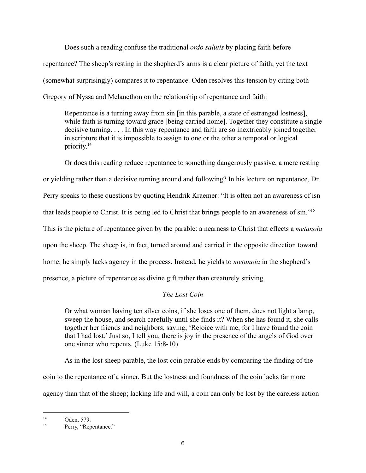Does such a reading confuse the traditional *ordo salutis* by placing faith before repentance? The sheep's resting in the shepherd's arms is a clear picture of faith, yet the text (somewhat surprisingly) compares it to repentance. Oden resolves this tension by citing both Gregory of Nyssa and Melancthon on the relationship of repentance and faith:

Repentance is a turning away from sin [in this parable, a state of estranged lostness], while faith is turning toward grace [being carried home]. Together they constitute a single decisive turning. . . . In this way repentance and faith are so inextricably joined together in scripture that it is impossible to assign to one or the other a temporal or logical priority. 14

Or does this reading reduce repentance to something dangerously passive, a mere resting or yielding rather than a decisive turning around and following? In his lecture on repentance, Dr. Perry speaks to these questions by quoting Hendrik Kraemer: "It is often not an awareness of isn that leads people to Christ. It is being led to Christ that brings people to an awareness of sin."<sup>15</sup> This is the picture of repentance given by the parable: a nearness to Christ that effects a *metanoia* upon the sheep. The sheep is, in fact, turned around and carried in the opposite direction toward home; he simply lacks agency in the process. Instead, he yields to *metanoia* in the shepherd's presence, a picture of repentance as divine gift rather than creaturely striving.

# *The Lost Coin*

Or what woman having ten silver coins, if she loses one of them, does not light a lamp, sweep the house, and search carefully until she finds it? When she has found it, she calls together her friends and neighbors, saying, 'Rejoice with me, for I have found the coin that I had lost.' Just so, I tell you, there is joy in the presence of the angels of God over one sinner who repents. (Luke 15:8-10)

As in the lost sheep parable, the lost coin parable ends by comparing the finding of the coin to the repentance of a sinner. But the lostness and foundness of the coin lacks far more agency than that of the sheep; lacking life and will, a coin can only be lost by the careless action

<sup>14</sup> Oden, 579.

<sup>&</sup>lt;sup>15</sup> Perry, "Repentance."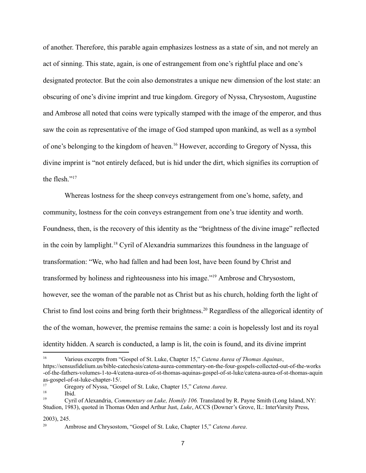of another. Therefore, this parable again emphasizes lostness as a state of sin, and not merely an act of sinning. This state, again, is one of estrangement from one's rightful place and one's designated protector. But the coin also demonstrates a unique new dimension of the lost state: an obscuring of one's divine imprint and true kingdom. Gregory of Nyssa, Chrysostom, Augustine and Ambrose all noted that coins were typically stamped with the image of the emperor, and thus saw the coin as representative of the image of God stamped upon mankind, as well as a symbol of one's belonging to the kingdom of heaven.<sup>16</sup> However, according to Gregory of Nyssa, this divine imprint is "not entirely defaced, but is hid under the dirt, which signifies its corruption of the flesh<sup>"17</sup>

Whereas lostness for the sheep conveys estrangement from one's home, safety, and community, lostness for the coin conveys estrangement from one's true identity and worth. Foundness, then, is the recovery of this identity as the "brightness of the divine image" reflected in the coin by lamplight.<sup>18</sup> Cyril of Alexandria summarizes this foundness in the language of transformation: "We, who had fallen and had been lost, have been found by Christ and transformed by holiness and righteousness into his image."<sup>19</sup> Ambrose and Chrysostom, however, see the woman of the parable not as Christ but as his church, holding forth the light of Christ to find lost coins and bring forth their brightness.<sup>20</sup> Regardless of the allegorical identity of the of the woman, however, the premise remains the same: a coin is hopelessly lost and its royal identity hidden. A search is conducted, a lamp is lit, the coin is found, and its divine imprint

#### 2003), 245.

<sup>16</sup> Various excerpts from "Gospel of St. Luke, Chapter 15," *Catena Aurea of Thomas Aquinas*, https://sensusfidelium.us/bible-catechesis/catena-aurea-commentary-on-the-four-gospels-collected-out-of-the-works -of-the-fathers-volumes-1-to-4/catena-aurea-of-st-thomas-aquinas-gospel-of-st-luke/catena-aurea-of-st-thomas-aquin as-gospel-of-st-luke-chapter-15/.

 $18$  Ibid. <sup>17</sup> Gregory of Nyssa, "Gospel of St. Luke, Chapter 15," *Catena Aurea*.

<sup>19</sup> Cyril of Alexandria, *Commentary on Luke, Homily 106.* Translated by R. Payne Smith (Long Island, NY: Studion, 1983), quoted in Thomas Oden and Arthur Just, *Luke*, ACCS (Downer's Grove, IL: InterVarsity Press,

<sup>20</sup> Ambrose and Chrysostom, "Gospel of St. Luke, Chapter 15," *Catena Aurea*.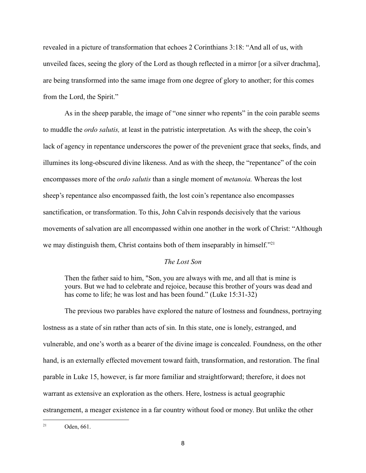revealed in a picture of transformation that echoes 2 Corinthians 3:18: "And all of us, with unveiled faces, seeing the glory of the Lord as though reflected in a mirror [or a silver drachma], are being transformed into the same image from one degree of glory to another; for this comes from the Lord, the Spirit."

As in the sheep parable, the image of "one sinner who repents" in the coin parable seems to muddle the *ordo salutis,* at least in the patristic interpretation*.* As with the sheep, the coin's lack of agency in repentance underscores the power of the prevenient grace that seeks, finds, and illumines its long-obscured divine likeness. And as with the sheep, the "repentance" of the coin encompasses more of the *ordo salutis* than a single moment of *metanoia.* Whereas the lost sheep's repentance also encompassed faith, the lost coin's repentance also encompasses sanctification, or transformation. To this, John Calvin responds decisively that the various movements of salvation are all encompassed within one another in the work of Christ: "Although we may distinguish them, Christ contains both of them inseparably in himself."<sup>21</sup>

### *The Lost Son*

Then the father said to him, "Son, you are always with me, and all that is mine is yours. But we had to celebrate and rejoice, because this brother of yours was dead and has come to life; he was lost and has been found." (Luke 15:31-32)

The previous two parables have explored the nature of lostness and foundness, portraying lostness as a state of sin rather than acts of sin. In this state, one is lonely, estranged, and vulnerable, and one's worth as a bearer of the divine image is concealed. Foundness, on the other hand, is an externally effected movement toward faith, transformation, and restoration. The final parable in Luke 15, however, is far more familiar and straightforward; therefore, it does not warrant as extensive an exploration as the others. Here, lostness is actual geographic estrangement, a meager existence in a far country without food or money. But unlike the other

 $21$  Oden, 661.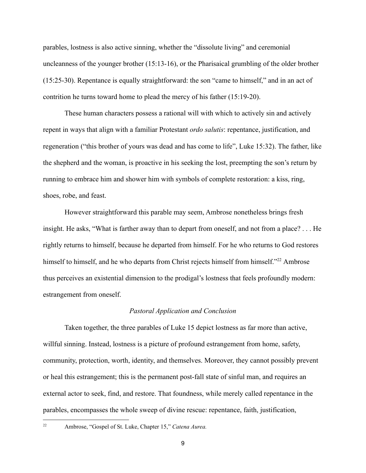parables, lostness is also active sinning, whether the "dissolute living" and ceremonial uncleanness of the younger brother (15:13-16), or the Pharisaical grumbling of the older brother (15:25-30). Repentance is equally straightforward: the son "came to himself," and in an act of contrition he turns toward home to plead the mercy of his father (15:19-20).

These human characters possess a rational will with which to actively sin and actively repent in ways that align with a familiar Protestant *ordo salutis*: repentance, justification, and regeneration ("this brother of yours was dead and has come to life", Luke 15:32). The father, like the shepherd and the woman, is proactive in his seeking the lost, preempting the son's return by running to embrace him and shower him with symbols of complete restoration: a kiss, ring, shoes, robe, and feast.

However straightforward this parable may seem, Ambrose nonetheless brings fresh insight. He asks, "What is farther away than to depart from oneself, and not from a place? . . . He rightly returns to himself, because he departed from himself. For he who returns to God restores himself to himself, and he who departs from Christ rejects himself from himself."<sup>22</sup> Ambrose thus perceives an existential dimension to the prodigal's lostness that feels profoundly modern: estrangement from oneself.

### *Pastoral Application and Conclusion*

Taken together, the three parables of Luke 15 depict lostness as far more than active, willful sinning. Instead, lostness is a picture of profound estrangement from home, safety, community, protection, worth, identity, and themselves. Moreover, they cannot possibly prevent or heal this estrangement; this is the permanent post-fall state of sinful man, and requires an external actor to seek, find, and restore. That foundness, while merely called repentance in the parables, encompasses the whole sweep of divine rescue: repentance, faith, justification,

<sup>22</sup> Ambrose, "Gospel of St. Luke, Chapter 15," *Catena Aurea.*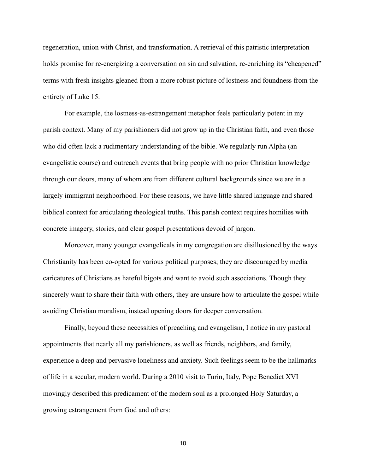regeneration, union with Christ, and transformation. A retrieval of this patristic interpretation holds promise for re-energizing a conversation on sin and salvation, re-enriching its "cheapened" terms with fresh insights gleaned from a more robust picture of lostness and foundness from the entirety of Luke 15.

For example, the lostness-as-estrangement metaphor feels particularly potent in my parish context. Many of my parishioners did not grow up in the Christian faith, and even those who did often lack a rudimentary understanding of the bible. We regularly run Alpha (an evangelistic course) and outreach events that bring people with no prior Christian knowledge through our doors, many of whom are from different cultural backgrounds since we are in a largely immigrant neighborhood. For these reasons, we have little shared language and shared biblical context for articulating theological truths. This parish context requires homilies with concrete imagery, stories, and clear gospel presentations devoid of jargon.

Moreover, many younger evangelicals in my congregation are disillusioned by the ways Christianity has been co-opted for various political purposes; they are discouraged by media caricatures of Christians as hateful bigots and want to avoid such associations. Though they sincerely want to share their faith with others, they are unsure how to articulate the gospel while avoiding Christian moralism, instead opening doors for deeper conversation.

Finally, beyond these necessities of preaching and evangelism, I notice in my pastoral appointments that nearly all my parishioners, as well as friends, neighbors, and family, experience a deep and pervasive loneliness and anxiety. Such feelings seem to be the hallmarks of life in a secular, modern world. During a 2010 visit to Turin, Italy, Pope Benedict XVI movingly described this predicament of the modern soul as a prolonged Holy Saturday, a growing estrangement from God and others:

10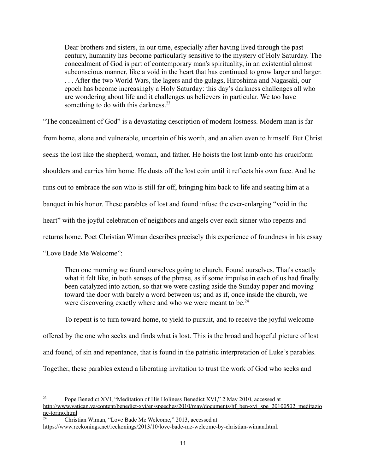Dear brothers and sisters, in our time, especially after having lived through the past century, humanity has become particularly sensitive to the mystery of Holy Saturday. The concealment of God is part of contemporary man's spirituality, in an existential almost subconscious manner, like a void in the heart that has continued to grow larger and larger. . . . After the two World Wars, the lagers and the gulags, Hiroshima and Nagasaki, our epoch has become increasingly a Holy Saturday: this day's darkness challenges all who are wondering about life and it challenges us believers in particular. We too have something to do with this darkness. $23$ 

"The concealment of God" is a devastating description of modern lostness. Modern man is far from home, alone and vulnerable, uncertain of his worth, and an alien even to himself. But Christ seeks the lost like the shepherd, woman, and father. He hoists the lost lamb onto his cruciform shoulders and carries him home. He dusts off the lost coin until it reflects his own face. And he runs out to embrace the son who is still far off, bringing him back to life and seating him at a banquet in his honor. These parables of lost and found infuse the ever-enlarging "void in the heart" with the joyful celebration of neighbors and angels over each sinner who repents and returns home. Poet Christian Wiman describes precisely this experience of foundness in his essay "Love Bade Me Welcome":

Then one morning we found ourselves going to church. Found ourselves. That's exactly what it felt like, in both senses of the phrase, as if some impulse in each of us had finally been catalyzed into action, so that we were casting aside the Sunday paper and moving toward the door with barely a word between us; and as if, once inside the church, we were discovering exactly where and who we were meant to be.<sup>24</sup>

To repent is to turn toward home, to yield to pursuit, and to receive the joyful welcome offered by the one who seeks and finds what is lost. This is the broad and hopeful picture of lost and found, of sin and repentance, that is found in the patristic interpretation of Luke's parables. Together, these parables extend a liberating invitation to trust the work of God who seeks and

<sup>&</sup>lt;sup>23</sup> Pope Benedict XVI, "Meditation of His Holiness Benedict XVI," 2 May 2010, accessed at [http://www.vatican.va/content/benedict-xvi/en/speeches/2010/may/documents/hf\\_ben-xvi\\_spe\\_20100502\\_meditazio](http://www.vatican.va/content/benedict-xvi/en/speeches/2010/may/documents/hf_ben-xvi_spe_20100502_meditazione-torino.html) [ne-torino.html](http://www.vatican.va/content/benedict-xvi/en/speeches/2010/may/documents/hf_ben-xvi_spe_20100502_meditazione-torino.html)

<sup>24</sup> Christian Wiman, "Love Bade Me Welcome," 2013, accessed at https://www.reckonings.net/reckonings/2013/10/love-bade-me-welcome-by-christian-wiman.html.